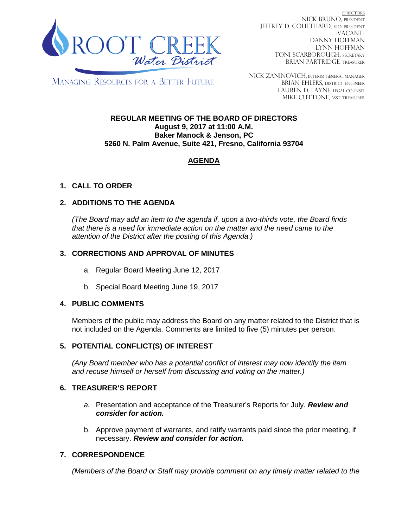

**DIRECTORS** nick bruno, PRESIDENT JEFFREY D. COULTHARD, Vice President -VACANT-DANNY HOFFMAN LYNN HOFFMAN TONI SCARBOROUGH, SECRETARY BRIAN PARTRIDGE, TREASURER

**MANAGING RESOURCES FOR A BETTER FUTURE** 

NICK ZANINOVICH, INTERIM GENERAL MANAGER BRIAN EHLERS, DISTRICT ENGINEER LAUREN D. LAYNE, LEGAL COUNSEL MIKE CUTTONE, ASST. TREASURER

#### **REGULAR MEETING OF THE BOARD OF DIRECTORS August 9, 2017 at 11:00 A.M. Baker Manock & Jenson, PC 5260 N. Palm Avenue, Suite 421, Fresno, California 93704**

# **AGENDA**

## **1. CALL TO ORDER**

## **2. ADDITIONS TO THE AGENDA**

*(The Board may add an item to the agenda if, upon a two-thirds vote, the Board finds that there is a need for immediate action on the matter and the need came to the attention of the District after the posting of this Agenda.)*

### **3. CORRECTIONS AND APPROVAL OF MINUTES**

- a. Regular Board Meeting June 12, 2017
- b. Special Board Meeting June 19, 2017

### **4. PUBLIC COMMENTS**

Members of the public may address the Board on any matter related to the District that is not included on the Agenda. Comments are limited to five (5) minutes per person.

### **5. POTENTIAL CONFLICT(S) OF INTEREST**

*(Any Board member who has a potential conflict of interest may now identify the item and recuse himself or herself from discussing and voting on the matter.)*

### **6. TREASURER'S REPORT**

- *a.* Presentation and acceptance of the Treasurer's Reports for July. *Review and consider for action.*
- b. Approve payment of warrants, and ratify warrants paid since the prior meeting, if necessary. *Review and consider for action.*

## **7. CORRESPONDENCE**

*(Members of the Board or Staff may provide comment on any timely matter related to the*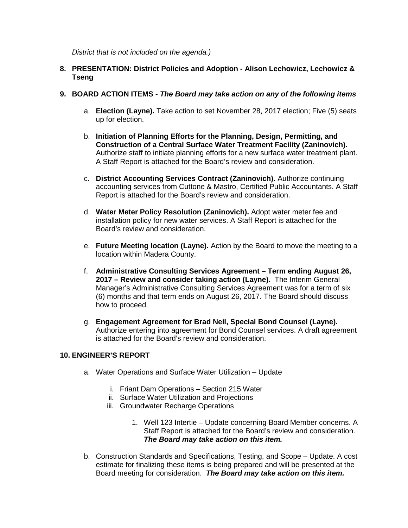*District that is not included on the agenda.)*

### **8. PRESENTATION: District Policies and Adoption - Alison Lechowicz, Lechowicz & Tseng**

- **9. BOARD ACTION ITEMS -** *The Board may take action on any of the following items*
	- a. **Election (Layne).** Take action to set November 28, 2017 election; Five (5) seats up for election.
	- b. **Initiation of Planning Efforts for the Planning, Design, Permitting, and Construction of a Central Surface Water Treatment Facility (Zaninovich).** Authorize staff to initiate planning efforts for a new surface water treatment plant. A Staff Report is attached for the Board's review and consideration.
	- c. **District Accounting Services Contract (Zaninovich).** Authorize continuing accounting services from Cuttone & Mastro, Certified Public Accountants. A Staff Report is attached for the Board's review and consideration.
	- d. **Water Meter Policy Resolution (Zaninovich).** Adopt water meter fee and installation policy for new water services. A Staff Report is attached for the Board's review and consideration.
	- e. **Future Meeting location (Layne).** Action by the Board to move the meeting to a location within Madera County.
	- f. **Administrative Consulting Services Agreement – Term ending August 26, 2017 – Review and consider taking action (Layne).** The Interim General Manager's Administrative Consulting Services Agreement was for a term of six (6) months and that term ends on August 26, 2017. The Board should discuss how to proceed.
	- g. **Engagement Agreement for Brad Neil, Special Bond Counsel (Layne).**  Authorize entering into agreement for Bond Counsel services. A draft agreement is attached for the Board's review and consideration.

### **10. ENGINEER'S REPORT**

- a. Water Operations and Surface Water Utilization Update
	- i. Friant Dam Operations Section 215 Water
	- ii. Surface Water Utilization and Projections
	- iii. Groundwater Recharge Operations
		- 1. Well 123 Intertie Update concerning Board Member concerns. A Staff Report is attached for the Board's review and consideration. *The Board may take action on this item.*
- b. Construction Standards and Specifications, Testing, and Scope Update. A cost estimate for finalizing these items is being prepared and will be presented at the Board meeting for consideration. *The Board may take action on this item.*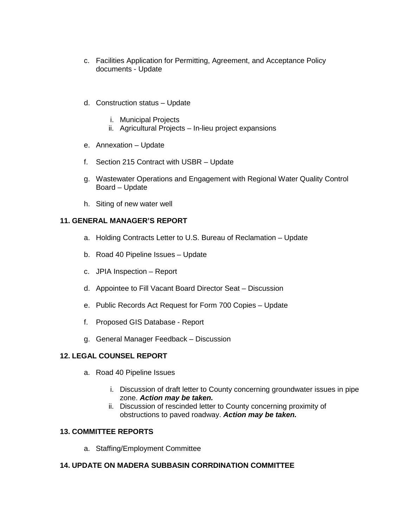- c. Facilities Application for Permitting, Agreement, and Acceptance Policy documents - Update
- d. Construction status Update
	- i. Municipal Projects
	- ii. Agricultural Projects In-lieu project expansions
- e. Annexation Update
- f. Section 215 Contract with USBR Update
- g. Wastewater Operations and Engagement with Regional Water Quality Control Board – Update
- h. Siting of new water well

## **11. GENERAL MANAGER'S REPORT**

- a. Holding Contracts Letter to U.S. Bureau of Reclamation Update
- b. Road 40 Pipeline Issues Update
- c. JPIA Inspection Report
- d. Appointee to Fill Vacant Board Director Seat Discussion
- e. Public Records Act Request for Form 700 Copies Update
- f. Proposed GIS Database Report
- g. General Manager Feedback Discussion

## **12. LEGAL COUNSEL REPORT**

- a. Road 40 Pipeline Issues
	- i. Discussion of draft letter to County concerning groundwater issues in pipe zone. *Action may be taken.*
	- ii. Discussion of rescinded letter to County concerning proximity of obstructions to paved roadway. *Action may be taken.*

### **13. COMMITTEE REPORTS**

a. Staffing/Employment Committee

### **14. UPDATE ON MADERA SUBBASIN CORRDINATION COMMITTEE**